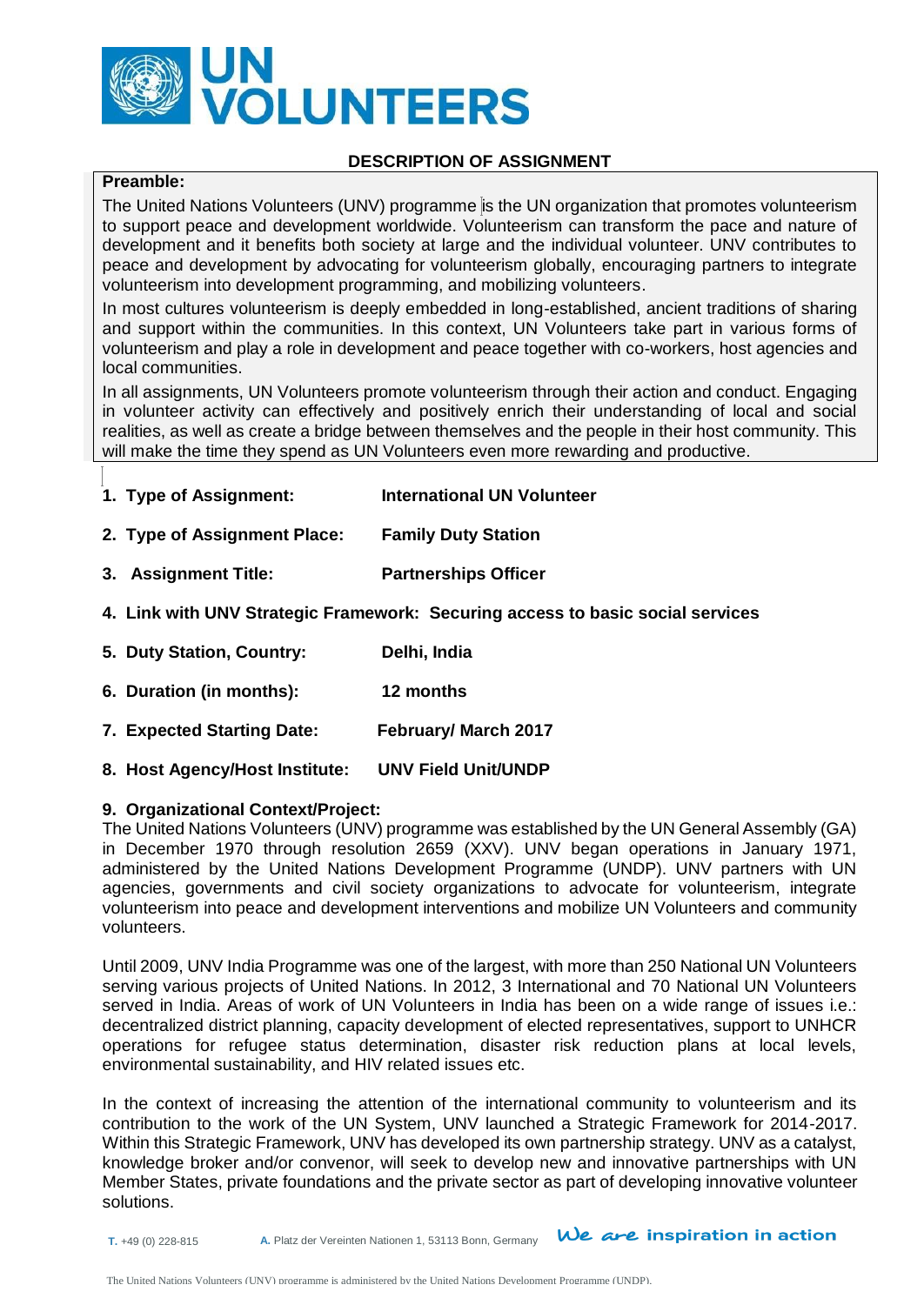

#### **DESCRIPTION OF ASSIGNMENT**

# **Preamble:**

The United Nations Volunteers (UNV) programme is the UN organization that promotes volunteerism to support peace and development worldwide. Volunteerism can transform the pace and nature of development and it benefits both society at large and the individual volunteer. UNV contributes to peace and development by advocating for volunteerism globally, encouraging partners to integrate volunteerism into development programming, and mobilizing volunteers.

In most cultures volunteerism is deeply embedded in long-established, ancient traditions of sharing and support within the communities. In this context, UN Volunteers take part in various forms of volunteerism and play a role in development and peace together with co-workers, host agencies and local communities.

In all assignments, UN Volunteers promote volunteerism through their action and conduct. Engaging in volunteer activity can effectively and positively enrich their understanding of local and social realities, as well as create a bridge between themselves and the people in their host community. This will make the time they spend as UN Volunteers even more rewarding and productive.

- **1. Type of Assignment: International UN Volunteer**
- **2. Type of Assignment Place: Family Duty Station**
- **3. Assignment Title: Partnerships Officer**
- **4. Link with UNV Strategic Framework: Securing access to basic social services**
- **5. Duty Station, Country: Delhi, India**
- **6. Duration (in months): 12 months**
- **7. Expected Starting Date: February/ March 2017**
- **8. Host Agency/Host Institute: UNV Field Unit/UNDP**

#### **9. Organizational Context/Project:**

The United Nations Volunteers (UNV) programme was established by the UN General Assembly (GA) in December 1970 through resolution 2659 (XXV). UNV began operations in January 1971, administered by the United Nations Development Programme (UNDP). UNV partners with UN agencies, governments and civil society organizations to advocate for volunteerism, integrate volunteerism into peace and development interventions and mobilize UN Volunteers and community volunteers.

Until 2009, UNV India Programme was one of the largest, with more than 250 National UN Volunteers serving various projects of United Nations. In 2012, 3 International and 70 National UN Volunteers served in India. Areas of work of UN Volunteers in India has been on a wide range of issues i.e.: decentralized district planning, capacity development of elected representatives, support to UNHCR operations for refugee status determination, disaster risk reduction plans at local levels, environmental sustainability, and HIV related issues etc.

In the context of increasing the attention of the international community to volunteerism and its contribution to the work of the UN System, UNV launched a Strategic Framework for 2014-2017. Within this Strategic Framework, UNV has developed its own partnership strategy. UNV as a catalyst, knowledge broker and/or convenor, will seek to develop new and innovative partnerships with UN Member States, private foundations and the private sector as part of developing innovative volunteer solutions.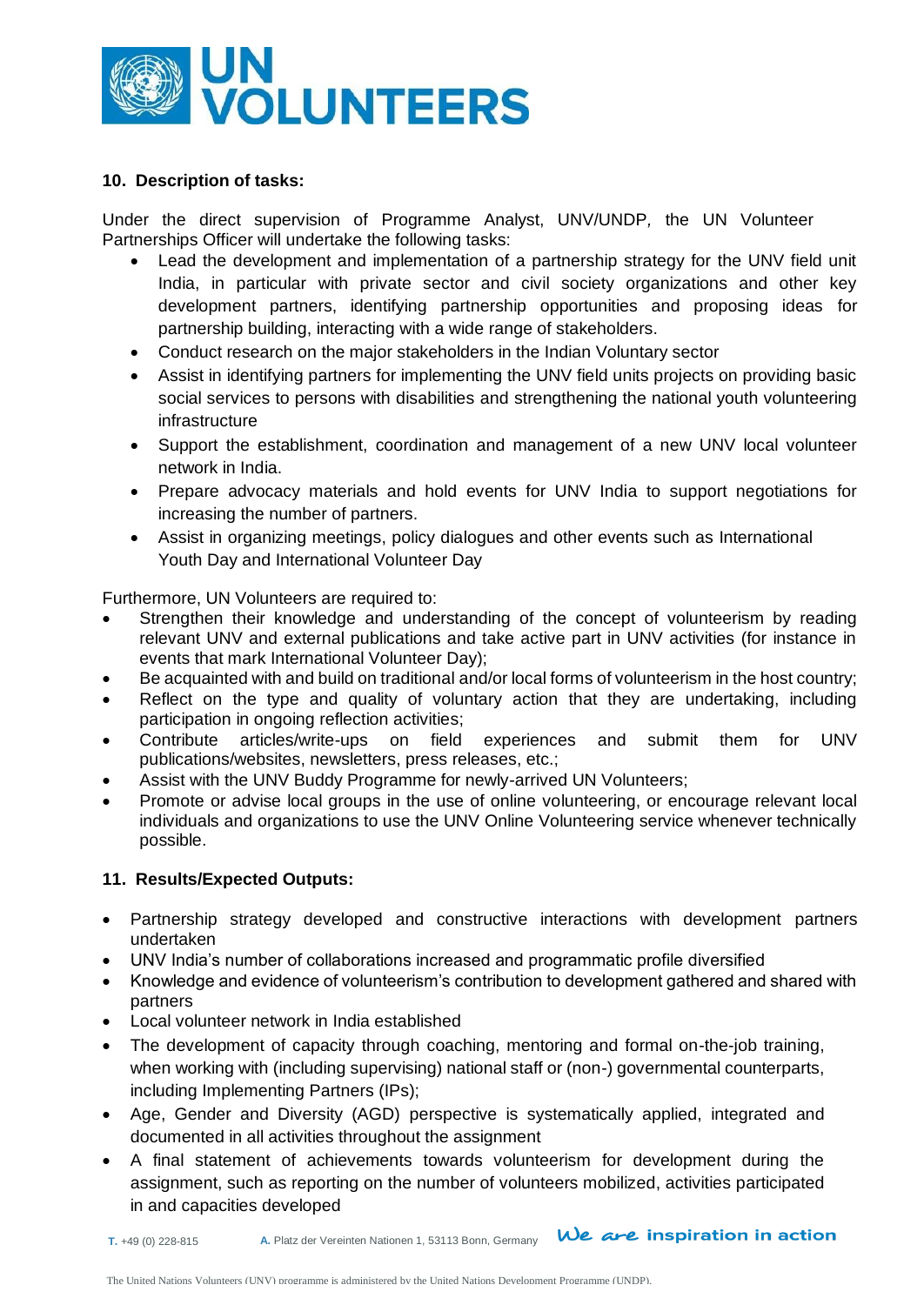

### **10. Description of tasks:**

Under the direct supervision of Programme Analyst, UNV/UNDP*,* the UN Volunteer Partnerships Officer will undertake the following tasks:

- Lead the development and implementation of a partnership strategy for the UNV field unit India, in particular with private sector and civil society organizations and other key development partners, identifying partnership opportunities and proposing ideas for partnership building, interacting with a wide range of stakeholders.
- Conduct research on the major stakeholders in the Indian Voluntary sector
- Assist in identifying partners for implementing the UNV field units projects on providing basic social services to persons with disabilities and strengthening the national youth volunteering infrastructure
- Support the establishment, coordination and management of a new UNV local volunteer network in India.
- Prepare advocacy materials and hold events for UNV India to support negotiations for increasing the number of partners.
- Assist in organizing meetings, policy dialogues and other events such as International Youth Day and International Volunteer Day

Furthermore, UN Volunteers are required to:

- Strengthen their knowledge and understanding of the concept of volunteerism by reading relevant UNV and external publications and take active part in UNV activities (for instance in events that mark International Volunteer Day);
- Be acquainted with and build on traditional and/or local forms of volunteerism in the host country;
- Reflect on the type and quality of voluntary action that they are undertaking, including participation in ongoing reflection activities;
- Contribute articles/write-ups on field experiences and submit them for UNV publications/websites, newsletters, press releases, etc.;
- Assist with the UNV Buddy Programme for newly-arrived UN Volunteers;
- Promote or advise local groups in the use of online volunteering, or encourage relevant local individuals and organizations to use the UNV Online Volunteering service whenever technically possible.

## **11. Results/Expected Outputs:**

- Partnership strategy developed and constructive interactions with development partners undertaken
- UNV India's number of collaborations increased and programmatic profile diversified
- Knowledge and evidence of volunteerism's contribution to development gathered and shared with partners
- Local volunteer network in India established
- The development of capacity through coaching, mentoring and formal on-the-job training, when working with (including supervising) national staff or (non-) governmental counterparts, including Implementing Partners (IPs);
- Age, Gender and Diversity (AGD) perspective is systematically applied, integrated and documented in all activities throughout the assignment
- A final statement of achievements towards volunteerism for development during the assignment, such as reporting on the number of volunteers mobilized, activities participated in and capacities developed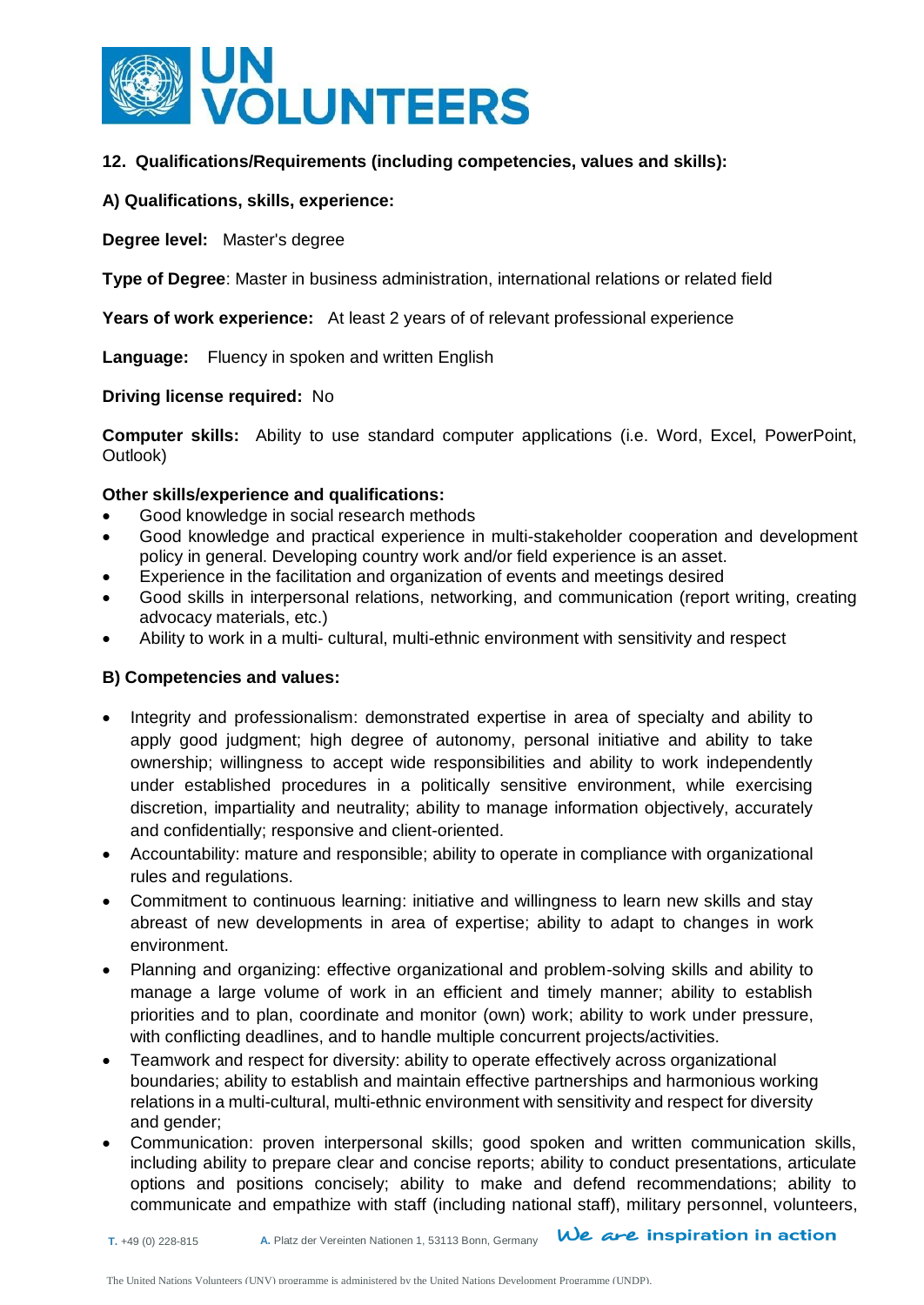

### **12. Qualifications/Requirements (including competencies, values and skills):**

#### **A) Qualifications, skills, experience:**

**Degree level:** Master's degree

**Type of Degree**: Master in business administration, international relations or related field

**Years of work experience:** At least 2 years of of relevant professional experience

**Language:** Fluency in spoken and written English

#### **Driving license required:** No

**Computer skills:** Ability to use standard computer applications (i.e. Word, Excel, PowerPoint, Outlook)

#### **Other skills/experience and qualifications:**

- Good knowledge in social research methods
- Good knowledge and practical experience in multi-stakeholder cooperation and development policy in general. Developing country work and/or field experience is an asset.
- Experience in the facilitation and organization of events and meetings desired
- Good skills in interpersonal relations, networking, and communication (report writing, creating advocacy materials, etc.)
- Ability to work in a multi- cultural, multi-ethnic environment with sensitivity and respect

## **B) Competencies and values:**

- Integrity and professionalism: demonstrated expertise in area of specialty and ability to apply good judgment; high degree of autonomy, personal initiative and ability to take ownership; willingness to accept wide responsibilities and ability to work independently under established procedures in a politically sensitive environment, while exercising discretion, impartiality and neutrality; ability to manage information objectively, accurately and confidentially; responsive and client-oriented.
- Accountability: mature and responsible; ability to operate in compliance with organizational rules and regulations.
- Commitment to continuous learning: initiative and willingness to learn new skills and stay abreast of new developments in area of expertise; ability to adapt to changes in work environment.
- Planning and organizing: effective organizational and problem-solving skills and ability to manage a large volume of work in an efficient and timely manner; ability to establish priorities and to plan, coordinate and monitor (own) work; ability to work under pressure, with conflicting deadlines, and to handle multiple concurrent projects/activities.
- Teamwork and respect for diversity: ability to operate effectively across organizational boundaries; ability to establish and maintain effective partnerships and harmonious working relations in a multi-cultural, multi-ethnic environment with sensitivity and respect for diversity and gender;
- Communication: proven interpersonal skills; good spoken and written communication skills, including ability to prepare clear and concise reports; ability to conduct presentations, articulate options and positions concisely; ability to make and defend recommendations; ability to communicate and empathize with staff (including national staff), military personnel, volunteers,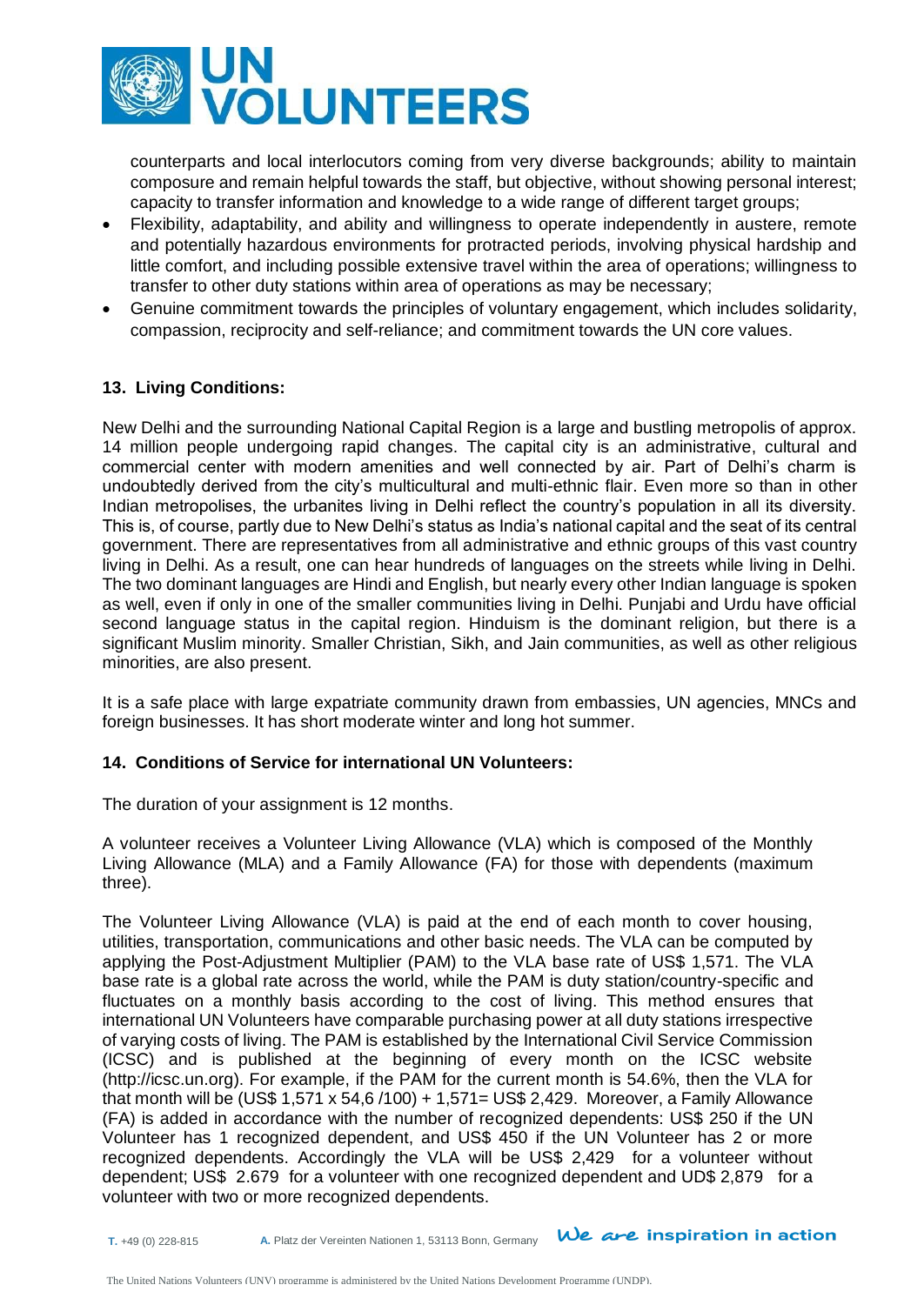

counterparts and local interlocutors coming from very diverse backgrounds; ability to maintain composure and remain helpful towards the staff, but objective, without showing personal interest; capacity to transfer information and knowledge to a wide range of different target groups;

- Flexibility, adaptability, and ability and willingness to operate independently in austere, remote and potentially hazardous environments for protracted periods, involving physical hardship and little comfort, and including possible extensive travel within the area of operations; willingness to transfer to other duty stations within area of operations as may be necessary;
- Genuine commitment towards the principles of voluntary engagement, which includes solidarity, compassion, reciprocity and self-reliance; and commitment towards the UN core values.

## **13. Living Conditions:**

New Delhi and the surrounding National Capital Region is a large and bustling metropolis of approx. 14 million people undergoing rapid changes. The capital city is an administrative, cultural and commercial center with modern amenities and well connected by air. Part of Delhi's charm is undoubtedly derived from the city's multicultural and multi-ethnic flair. Even more so than in other Indian metropolises, the urbanites living in Delhi reflect the country's population in all its diversity. This is, of course, partly due to New Delhi's status as India's national capital and the seat of its central government. There are representatives from all administrative and ethnic groups of this vast country living in Delhi. As a result, one can hear hundreds of languages on the streets while living in Delhi. The two dominant languages are Hindi and English, but nearly every other Indian language is spoken as well, even if only in one of the smaller communities living in Delhi. Punjabi and Urdu have official second language status in the capital region. Hinduism is the dominant religion, but there is a significant Muslim minority. Smaller Christian, Sikh, and Jain communities, as well as other religious minorities, are also present.

It is a safe place with large expatriate community drawn from embassies, UN agencies, MNCs and foreign businesses. It has short moderate winter and long hot summer.

## **14. Conditions of Service for international UN Volunteers:**

The duration of your assignment is 12 months.

A volunteer receives a Volunteer Living Allowance (VLA) which is composed of the Monthly Living Allowance (MLA) and a Family Allowance (FA) for those with dependents (maximum three).

The Volunteer Living Allowance (VLA) is paid at the end of each month to cover housing, utilities, transportation, communications and other basic needs. The VLA can be computed by applying the Post-Adjustment Multiplier (PAM) to the VLA base rate of US\$ 1,571. The VLA base rate is a global rate across the world, while the PAM is duty station/country-specific and fluctuates on a monthly basis according to the cost of living. This method ensures that international UN Volunteers have comparable purchasing power at all duty stations irrespective of varying costs of living. The PAM is established by the International Civil Service Commission (ICSC) and is published at the beginning of every month on the ICSC website [\(http://icsc.un.org\)](http://icsc.un.org/). For example, if the PAM for the current month is 54.6%, then the VLA for that month will be (US\$ 1,571 x 54,6 /100) + 1,571= US\$ 2,429. Moreover, a Family Allowance (FA) is added in accordance with the number of recognized dependents: US\$ 250 if the UN Volunteer has 1 recognized dependent, and US\$ 450 if the UN Volunteer has 2 or more recognized dependents. Accordingly the VLA will be US\$ 2,429 for a volunteer without dependent; US\$ 2.679 for a volunteer with one recognized dependent and UD\$ 2,879 for a volunteer with two or more recognized dependents.